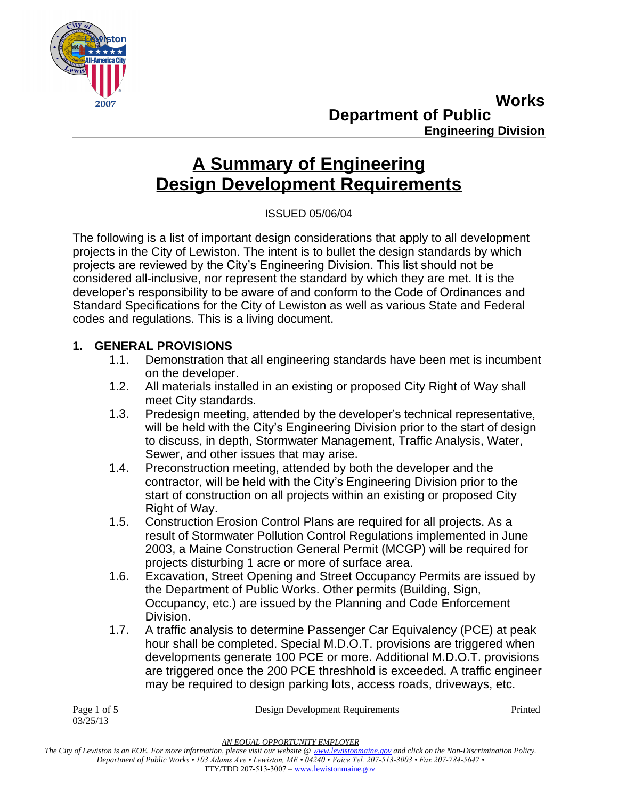

**Department of Public Works Engineering Division**

# **A Summary of Engineering Design Development Requirements**

ISSUED 05/06/04

The following is a list of important design considerations that apply to all development projects in the City of Lewiston. The intent is to bullet the design standards by which projects are reviewed by the City's Engineering Division. This list should not be considered all-inclusive, nor represent the standard by which they are met. It is the developer's responsibility to be aware of and conform to the Code of Ordinances and Standard Specifications for the City of Lewiston as well as various State and Federal codes and regulations. This is a living document.

## **1. GENERAL PROVISIONS**

- 1.1. Demonstration that all engineering standards have been met is incumbent on the developer.
- 1.2. All materials installed in an existing or proposed City Right of Way shall meet City standards.
- 1.3. Predesign meeting, attended by the developer's technical representative, will be held with the City's Engineering Division prior to the start of design to discuss, in depth, Stormwater Management, Traffic Analysis, Water, Sewer, and other issues that may arise.
- 1.4. Preconstruction meeting, attended by both the developer and the contractor, will be held with the City's Engineering Division prior to the start of construction on all projects within an existing or proposed City Right of Way.
- 1.5. Construction Erosion Control Plans are required for all projects. As a result of Stormwater Pollution Control Regulations implemented in June 2003, a Maine Construction General Permit (MCGP) will be required for projects disturbing 1 acre or more of surface area.
- 1.6. Excavation, Street Opening and Street Occupancy Permits are issued by the Department of Public Works. Other permits (Building, Sign, Occupancy, etc.) are issued by the Planning and Code Enforcement Division.
- 1.7. A traffic analysis to determine Passenger Car Equivalency (PCE) at peak hour shall be completed. Special M.D.O.T. provisions are triggered when developments generate 100 PCE or more. Additional M.D.O.T. provisions are triggered once the 200 PCE threshhold is exceeded. A traffic engineer may be required to design parking lots, access roads, driveways, etc.

03/25/13

Page 1 of 5 **Design Development Requirements** Printed

*AN EQUAL OPPORTUNITY EMPLOYER*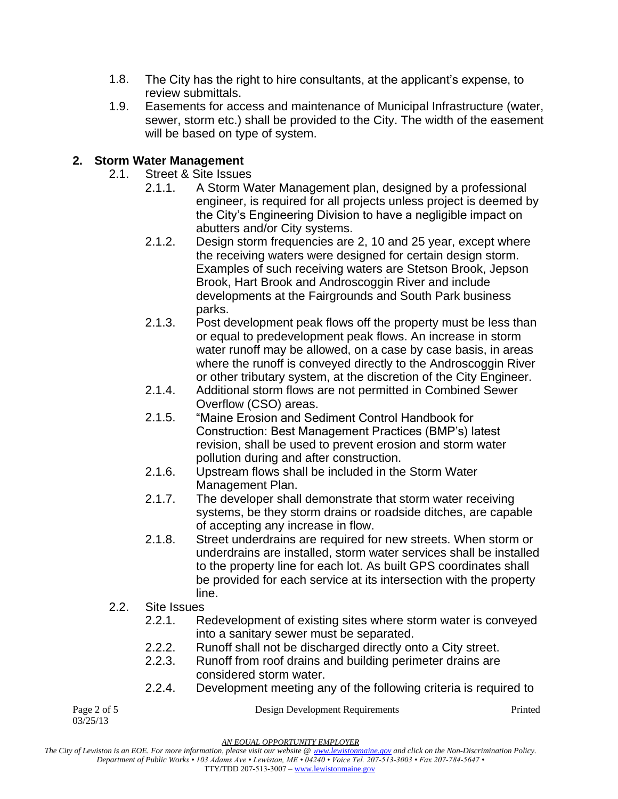- 1.8. The City has the right to hire consultants, at the applicant's expense, to review submittals.
- 1.9. Easements for access and maintenance of Municipal Infrastructure (water, sewer, storm etc.) shall be provided to the City. The width of the easement will be based on type of system.

## **2. Storm Water Management**

- 2.1. Street & Site Issues
	- 2.1.1. A Storm Water Management plan, designed by a professional engineer, is required for all projects unless project is deemed by the City's Engineering Division to have a negligible impact on abutters and/or City systems.
	- 2.1.2. Design storm frequencies are 2, 10 and 25 year, except where the receiving waters were designed for certain design storm. Examples of such receiving waters are Stetson Brook, Jepson Brook, Hart Brook and Androscoggin River and include developments at the Fairgrounds and South Park business parks.
	- 2.1.3. Post development peak flows off the property must be less than or equal to predevelopment peak flows. An increase in storm water runoff may be allowed, on a case by case basis, in areas where the runoff is conveyed directly to the Androscoggin River or other tributary system, at the discretion of the City Engineer.
	- 2.1.4. Additional storm flows are not permitted in Combined Sewer Overflow (CSO) areas.
	- 2.1.5. "Maine Erosion and Sediment Control Handbook for Construction: Best Management Practices (BMP's) latest revision, shall be used to prevent erosion and storm water pollution during and after construction.
	- 2.1.6. Upstream flows shall be included in the Storm Water Management Plan.
	- 2.1.7. The developer shall demonstrate that storm water receiving systems, be they storm drains or roadside ditches, are capable of accepting any increase in flow.
	- 2.1.8. Street underdrains are required for new streets. When storm or underdrains are installed, storm water services shall be installed to the property line for each lot. As built GPS coordinates shall be provided for each service at its intersection with the property line.
- 2.2. Site Issues
	- 2.2.1. Redevelopment of existing sites where storm water is conveyed into a sanitary sewer must be separated.
	- 2.2.2. Runoff shall not be discharged directly onto a City street.
	- 2.2.3. Runoff from roof drains and building perimeter drains are considered storm water.
	- 2.2.4. Development meeting any of the following criteria is required to

03/25/13

Page 2 of 5 **Design Development Requirements** Printed

*AN EQUAL OPPORTUNITY EMPLOYER*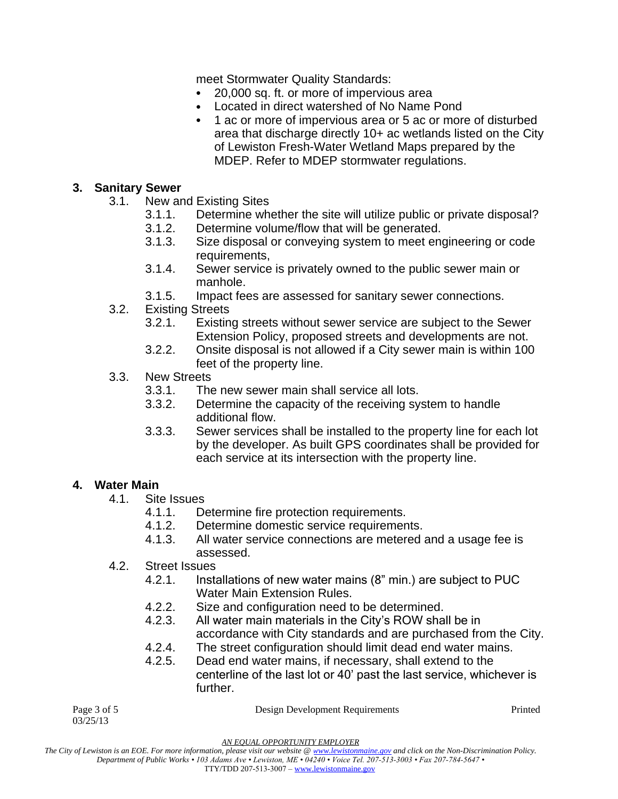meet Stormwater Quality Standards:

- 20,000 sq. ft. or more of impervious area
- Located in direct watershed of No Name Pond
- 1 ac or more of impervious area or 5 ac or more of disturbed area that discharge directly 10+ ac wetlands listed on the City of Lewiston Fresh-Water Wetland Maps prepared by the MDEP. Refer to MDEP stormwater regulations.

#### **3. Sanitary Sewer**

- 3.1. New and Existing Sites
	- 3.1.1. Determine whether the site will utilize public or private disposal?
	- 3.1.2. Determine volume/flow that will be generated.
	- 3.1.3. Size disposal or conveying system to meet engineering or code requirements,
	- 3.1.4. Sewer service is privately owned to the public sewer main or manhole.
	- 3.1.5. Impact fees are assessed for sanitary sewer connections.
- 3.2. Existing Streets
	- 3.2.1. Existing streets without sewer service are subject to the Sewer Extension Policy, proposed streets and developments are not.
	- 3.2.2. Onsite disposal is not allowed if a City sewer main is within 100 feet of the property line.
- 3.3. New Streets
	- 3.3.1. The new sewer main shall service all lots.
	- 3.3.2. Determine the capacity of the receiving system to handle additional flow.
	- 3.3.3. Sewer services shall be installed to the property line for each lot by the developer. As built GPS coordinates shall be provided for each service at its intersection with the property line.

#### **4. Water Main**

03/25/13

- 4.1. Site Issues
	- 4.1.1. Determine fire protection requirements.
	- 4.1.2. Determine domestic service requirements.
	- 4.1.3. All water service connections are metered and a usage fee is assessed.
- 4.2. Street Issues
	- 4.2.1. Installations of new water mains (8" min.) are subject to PUC Water Main Extension Rules.
	- 4.2.2. Size and configuration need to be determined.
	- 4.2.3. All water main materials in the City's ROW shall be in accordance with City standards and are purchased from the City.
	- 4.2.4. The street configuration should limit dead end water mains.
	- 4.2.5. Dead end water mains, if necessary, shall extend to the centerline of the last lot or 40' past the last service, whichever is further.

Page 3 of 5 **Design Development Requirements** Printed

*AN EQUAL OPPORTUNITY EMPLOYER*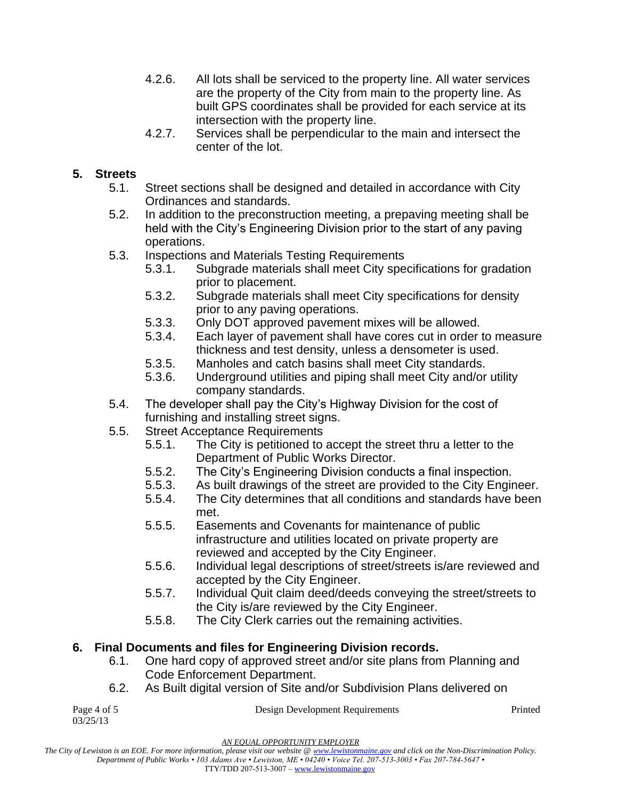- 4.2.6. All lots shall be serviced to the property line. All water services are the property of the City from main to the property line. As built GPS coordinates shall be provided for each service at its intersection with the property line.
- 4.2.7. Services shall be perpendicular to the main and intersect the center of the lot.

## **5. Streets**

- 5.1. Street sections shall be designed and detailed in accordance with City Ordinances and standards.
- 5.2. In addition to the preconstruction meeting, a prepaving meeting shall be held with the City's Engineering Division prior to the start of any paving operations.
- 5.3. Inspections and Materials Testing Requirements
	- 5.3.1. Subgrade materials shall meet City specifications for gradation prior to placement.
	- 5.3.2. Subgrade materials shall meet City specifications for density prior to any paving operations.
	- 5.3.3. Only DOT approved pavement mixes will be allowed.
	- 5.3.4. Each layer of pavement shall have cores cut in order to measure thickness and test density, unless a densometer is used.
	- 5.3.5. Manholes and catch basins shall meet City standards.
	- 5.3.6. Underground utilities and piping shall meet City and/or utility company standards.
- 5.4. The developer shall pay the City's Highway Division for the cost of furnishing and installing street signs.
- 5.5. Street Acceptance Requirements
	- 5.5.1. The City is petitioned to accept the street thru a letter to the Department of Public Works Director.
	- 5.5.2. The City's Engineering Division conducts a final inspection.
	- 5.5.3. As built drawings of the street are provided to the City Engineer.
	- 5.5.4. The City determines that all conditions and standards have been met.
	- 5.5.5. Easements and Covenants for maintenance of public infrastructure and utilities located on private property are reviewed and accepted by the City Engineer.
	- 5.5.6. Individual legal descriptions of street/streets is/are reviewed and accepted by the City Engineer.
	- 5.5.7. Individual Quit claim deed/deeds conveying the street/streets to the City is/are reviewed by the City Engineer.
	- 5.5.8. The City Clerk carries out the remaining activities.

## **6. Final Documents and files for Engineering Division records.**

- 6.1. One hard copy of approved street and/or site plans from Planning and Code Enforcement Department.
- 6.2. As Built digital version of Site and/or Subdivision Plans delivered on

03/25/13

Page 4 of 5 Design Development Requirements Printed

*AN EQUAL OPPORTUNITY EMPLOYER*